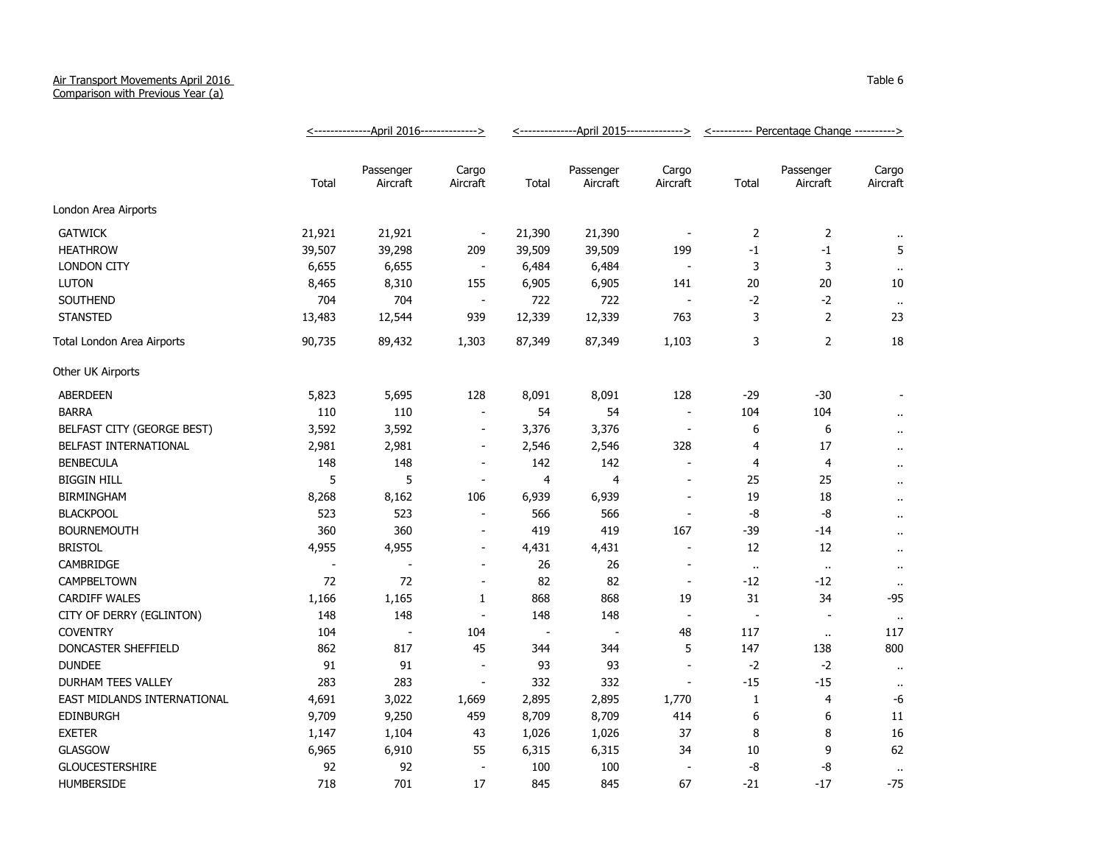## Air Transport Movements April 2016 Comparison with Previous Year (a)

<--------------April 2016--------------> <--------------April 2015--------------> <---------- Percentage Change ----------> Total Passenger Aircraft Cargo Aircraft Total Passenger Aircraft Cargo Aircraft Total Passenger Aircraft **Cargo** Aircraft London Area Airports GATWICK 21,921 21,921 - 21,390 - 2 2 .. HEATHROW 39,507 39,298 209 39,509 39,509 199 -1 -1 5 LONDON CITY 6,655 6,655 - 6,484 6,484 - 3 3 .. LUTON 8,465 8,310 155 6,905 6,905 141 20 20 10 SOUTHEND 704 704 - 722 722 - -2 -2 .. STANSTED 13,483 12,544 939 12,339 12,339 763 3 2 23 Total London Area Airports 90,735 89,432 1,303 87,349 87,349 1,103 3 2 18 Other UK Airports ABERDEEN 5,823 5,695 128 8,091 8,091 128 -29 -30 - BARRA 110 110 - 54 54 - 104 104 .. BELFAST CITY (GEORGE BEST) 3,592 3,592 - 3,376 3,376 - 6 6 ... BELFAST INTERNATIONAL 2,981 2,981 - 2,546 2,546 328 4 17 .. BENBECULA 148 148 - 142 142 - 4 4 .. BIGGIN HILL 5 5 - 4 4 - 25 25 .. BIRMINGHAM 8,268 8,162 106 6,939 6,939 - 19 18 .. BLACKPOOL 523 523 - 566 566 - -8 -8 .. BOURNEMOUTH 360 360 - 419 419 167 -39 -14 .. BRISTOL 4,955 4,955 - 4,431 4,431 - 12 12 .. CAMBRIDGE - - - 26 26 - .. .. .. CAMPBELTOWN 72 72 - 82 82 - -12 -12 .. CARDIFF WALES 1,166 1,165 1 868 868 19 31 34 -95 CITY OF DERRY (EGLINTON) 148 148 148 - 148 148 - - - - - - - ... COVENTRY 104 - 104 - - 48 117 .. 117 DONCASTER SHEFFIELD 862 817 45 344 344 5 147 138 800 DUNDEE 91 91 - 93 93 - -2 -2 .. DURHAM TEES VALLEY **283** 283 283 283 283 283 283 332 332 - - 15 - 15 - 15 ... EAST MIDLANDS INTERNATIONAL  $4.691$   $3.022$   $1.669$   $2.895$   $2.895$   $1.770$   $1$   $4$   $-6$ EDINBURGH 9,709 9,250 459 8,709 8,709 414 6 6 11 EXETER 1,147 1,104 43 1,026 1,026 37 8 8 16 GLASGOW 6,965 6,910 55 6,315 6,315 34 10 9 62 GLOUCESTERSHIRE 92 92 - 100 100 - -8 -8 ..

HUMBERSIDE 718 701 17 845 845 67 -21 -17 -75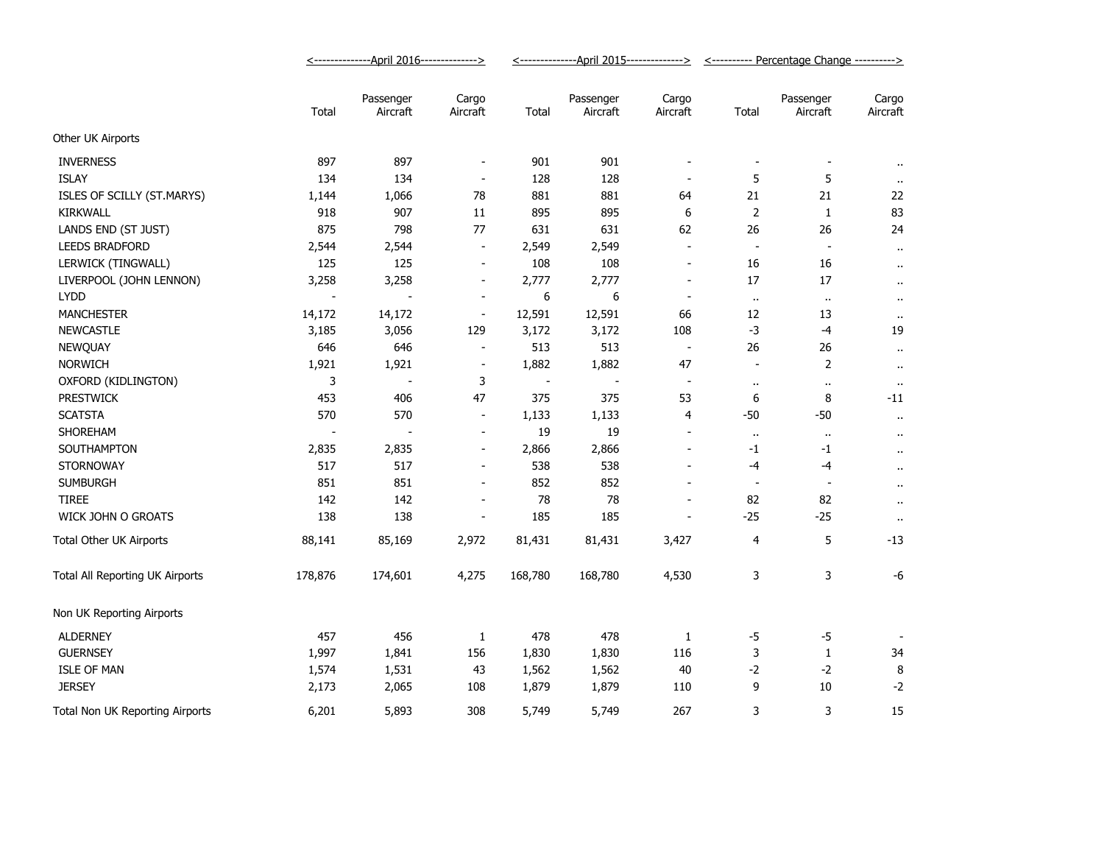|                                 | <---------------April 2016--------------> |                       |                          | <---------------April 2015--------------> |                       |                          | <---------- Percentage Change ----------> |                          |                      |
|---------------------------------|-------------------------------------------|-----------------------|--------------------------|-------------------------------------------|-----------------------|--------------------------|-------------------------------------------|--------------------------|----------------------|
|                                 | Total                                     | Passenger<br>Aircraft | Cargo<br>Aircraft        | Total                                     | Passenger<br>Aircraft | Cargo<br>Aircraft        | Total                                     | Passenger<br>Aircraft    | Cargo<br>Aircraft    |
| Other UK Airports               |                                           |                       |                          |                                           |                       |                          |                                           |                          |                      |
| <b>INVERNESS</b>                | 897                                       | 897                   | $\overline{\phantom{a}}$ | 901                                       | 901                   |                          |                                           |                          | $\ddot{\phantom{a}}$ |
| <b>ISLAY</b>                    | 134                                       | 134                   | $\blacksquare$           | 128                                       | 128                   | $\overline{a}$           | 5                                         | 5                        | $\cdot$ .            |
| ISLES OF SCILLY (ST.MARYS)      | 1,144                                     | 1,066                 | 78                       | 881                                       | 881                   | 64                       | 21                                        | 21                       | 22                   |
| <b>KIRKWALL</b>                 | 918                                       | 907                   | 11                       | 895                                       | 895                   | 6                        | 2                                         | $\mathbf{1}$             | 83                   |
| LANDS END (ST JUST)             | 875                                       | 798                   | 77                       | 631                                       | 631                   | 62                       | 26                                        | 26                       | 24                   |
| <b>LEEDS BRADFORD</b>           | 2,544                                     | 2,544                 | $\overline{\phantom{a}}$ | 2,549                                     | 2,549                 | $\overline{a}$           | $\overline{\phantom{a}}$                  | $\blacksquare$           | $\bullet$ .          |
| LERWICK (TINGWALL)              | 125                                       | 125                   | $\overline{\phantom{a}}$ | 108                                       | 108                   | $\blacksquare$           | 16                                        | 16                       | $\ddot{\phantom{a}}$ |
| LIVERPOOL (JOHN LENNON)         | 3,258                                     | 3,258                 | $\overline{\phantom{a}}$ | 2,777                                     | 2,777                 | $\overline{a}$           | 17                                        | 17                       | $\bullet$            |
| <b>LYDD</b>                     | $\blacksquare$                            |                       | $\blacksquare$           | 6                                         | 6                     | $\overline{a}$           | $\bullet$ .                               | $\ddot{\phantom{1}}$     | $\bullet$ .          |
| <b>MANCHESTER</b>               | 14,172                                    | 14,172                | $\overline{a}$           | 12,591                                    | 12,591                | 66                       | 12                                        | 13                       | $\sim$               |
| <b>NEWCASTLE</b>                | 3,185                                     | 3,056                 | 129                      | 3,172                                     | 3,172                 | 108                      | -3                                        | $-4$                     | 19                   |
| NEWQUAY                         | 646                                       | 646                   | $\overline{\phantom{a}}$ | 513                                       | 513                   | $\overline{\phantom{a}}$ | 26                                        | 26                       | $\bullet$ .          |
| <b>NORWICH</b>                  | 1,921                                     | 1,921                 | $\overline{\phantom{a}}$ | 1,882                                     | 1,882                 | 47                       | $\overline{\phantom{a}}$                  | $\overline{2}$           | $\cdot$ .            |
| OXFORD (KIDLINGTON)             | 3                                         |                       | 3                        |                                           |                       |                          | $\ddot{\phantom{1}}$                      | $\bullet$ .              | $\bullet$ .          |
| <b>PRESTWICK</b>                | 453                                       | 406                   | 47                       | 375                                       | 375                   | 53                       | 6                                         | 8                        | -11                  |
| <b>SCATSTA</b>                  | 570                                       | 570                   | $\overline{\phantom{a}}$ | 1,133                                     | 1,133                 | 4                        | $-50$                                     | -50                      | $\bullet$ .          |
| SHOREHAM                        | $\overline{a}$                            |                       | $\sim$                   | 19                                        | 19                    |                          | $\bullet$ .                               | $\ddot{\phantom{1}}$     | $\bullet$ .          |
| SOUTHAMPTON                     | 2,835                                     | 2,835                 | $\overline{a}$           | 2,866                                     | 2,866                 | $\overline{a}$           | $-1$                                      | $-1$                     | $\sim$               |
| <b>STORNOWAY</b>                | 517                                       | 517                   | $\overline{a}$           | 538                                       | 538                   | $\sim$                   | $-4$                                      | $-4$                     | $\sim$               |
| <b>SUMBURGH</b>                 | 851                                       | 851                   | $\overline{\phantom{a}}$ | 852                                       | 852                   | $\sim$                   | $\overline{\phantom{a}}$                  | $\overline{\phantom{a}}$ | $\bullet$ .          |
| <b>TIREE</b>                    | 142                                       | 142                   | $\blacksquare$           | 78                                        | 78                    | $\sim$                   | 82                                        | 82                       | $\sim$               |
| WICK JOHN O GROATS              | 138                                       | 138                   | $\overline{a}$           | 185                                       | 185                   | $\overline{a}$           | $-25$                                     | $-25$                    | $\bullet$ .          |
| <b>Total Other UK Airports</b>  | 88,141                                    | 85,169                | 2,972                    | 81,431                                    | 81,431                | 3,427                    | $\overline{4}$                            | 5                        | $-13$                |
| Total All Reporting UK Airports | 178,876                                   | 174,601               | 4,275                    | 168,780                                   | 168,780               | 4,530                    | 3                                         | 3                        | -6                   |
| Non UK Reporting Airports       |                                           |                       |                          |                                           |                       |                          |                                           |                          |                      |
| <b>ALDERNEY</b>                 | 457                                       | 456                   | 1                        | 478                                       | 478                   | 1                        | $-5$                                      | $-5$                     |                      |
| <b>GUERNSEY</b>                 | 1,997                                     | 1,841                 | 156                      | 1,830                                     | 1,830                 | 116                      | $\mathbf{3}$                              | $\mathbf{1}$             | 34                   |
| <b>ISLE OF MAN</b>              | 1,574                                     | 1,531                 | 43                       | 1,562                                     | 1,562                 | 40                       | $-2$                                      | $-2$                     | 8                    |
| <b>JERSEY</b>                   | 2,173                                     | 2,065                 | 108                      | 1,879                                     | 1,879                 | 110                      | 9                                         | 10                       | $-2$                 |
| Total Non UK Reporting Airports | 6,201                                     | 5,893                 | 308                      | 5,749                                     | 5,749                 | 267                      | 3                                         | 3                        | 15                   |